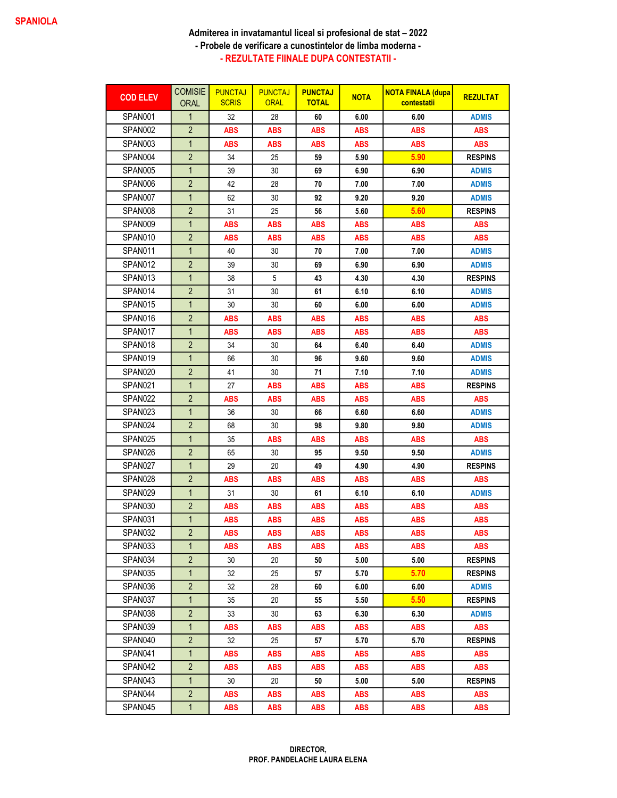## Admiterea in invatamantul liceal si profesional de stat – 2022 - Probele de verificare a cunostintelor de limba moderna - - REZULTATE FIINALE DUPA CONTESTATII -

| <b>COD ELEV</b> | <b>COMISIE</b><br><b>ORAL</b> | <b>PUNCTAJ</b><br><b>SCRIS</b> | <b>PUNCTAJ</b><br><b>ORAL</b> | <b>PUNCTAJ</b><br><b>TOTAL</b> | <b>NOTA</b> | <b>NOTA FINALA (dupa</b><br>contestatii | <b>REZULTAT</b> |
|-----------------|-------------------------------|--------------------------------|-------------------------------|--------------------------------|-------------|-----------------------------------------|-----------------|
| SPAN001         | 1                             | 32                             | 28                            | 60                             | 6.00        | 6.00                                    | <b>ADMIS</b>    |
| SPAN002         | $\overline{2}$                | ABS                            | <b>ABS</b>                    | <b>ABS</b>                     | <b>ABS</b>  | <b>ABS</b>                              | <b>ABS</b>      |
| SPAN003         | $\mathbf{1}$                  | ABS                            | <b>ABS</b>                    | <b>ABS</b>                     | <b>ABS</b>  | <b>ABS</b>                              | <b>ABS</b>      |
| SPAN004         | $\overline{2}$                | 34                             | 25                            | 59                             | 5.90        | 5.90                                    | <b>RESPINS</b>  |
| SPAN005         | 1                             | 39                             | 30                            | 69                             | 6.90        | 6.90                                    | <b>ADMIS</b>    |
| SPAN006         | $\overline{2}$                | 42                             | 28                            | 70                             | 7.00        | 7.00                                    | <b>ADMIS</b>    |
| SPAN007         | $\mathbf{1}$                  | 62                             | 30                            | 92                             | 9.20        | 9.20                                    | <b>ADMIS</b>    |
| SPAN008         | $\overline{2}$                | 31                             | 25                            | 56                             | 5.60        | 5.60                                    | <b>RESPINS</b>  |
| SPAN009         | $\mathbf{1}$                  | <b>ABS</b>                     | <b>ABS</b>                    | <b>ABS</b>                     | <b>ABS</b>  | <b>ABS</b>                              | <b>ABS</b>      |
| SPAN010         | $\overline{2}$                | ABS                            | <b>ABS</b>                    | <b>ABS</b>                     | <b>ABS</b>  | <b>ABS</b>                              | <b>ABS</b>      |
| SPAN011         | $\mathbf{1}$                  | 40                             | 30                            | 70                             | 7.00        | 7.00                                    | <b>ADMIS</b>    |
| SPAN012         | $\overline{2}$                | 39                             | 30                            | 69                             | 6.90        | 6.90                                    | <b>ADMIS</b>    |
| SPAN013         | 1                             | 38                             | 5                             | 43                             | 4.30        | 4.30                                    | <b>RESPINS</b>  |
| SPAN014         | $\overline{2}$                | 31                             | 30                            | 61                             | 6.10        | 6.10                                    | <b>ADMIS</b>    |
| SPAN015         | $\mathbf{1}$                  | 30                             | 30                            | 60                             | 6.00        | 6.00                                    | <b>ADMIS</b>    |
| SPAN016         | $\overline{2}$                | ABS                            | <b>ABS</b>                    | <b>ABS</b>                     | <b>ABS</b>  | <b>ABS</b>                              | <b>ABS</b>      |
| SPAN017         | $\mathbf{1}$                  | ABS                            | <b>ABS</b>                    | <b>ABS</b>                     | <b>ABS</b>  | <b>ABS</b>                              | <b>ABS</b>      |
| SPAN018         | $\overline{2}$                | 34                             | 30                            | 64                             | 6.40        | 6.40                                    | <b>ADMIS</b>    |
| SPAN019         | $\mathbf{1}$                  | 66                             | 30                            | 96                             | 9.60        | 9.60                                    | <b>ADMIS</b>    |
| SPAN020         | $\overline{2}$                | 41                             | 30                            | 71                             | 7.10        | 7.10                                    | <b>ADMIS</b>    |
| SPAN021         | $\mathbf{1}$                  | 27                             | <b>ABS</b>                    | <b>ABS</b>                     | <b>ABS</b>  | <b>ABS</b>                              | <b>RESPINS</b>  |
| SPAN022         | $\overline{2}$                | ABS                            | <b>ABS</b>                    | ABS                            | <b>ABS</b>  | <b>ABS</b>                              | <b>ABS</b>      |
| SPAN023         | $\mathbf{1}$                  | 36                             | 30                            | 66                             | 6.60        | 6.60                                    | <b>ADMIS</b>    |
| SPAN024         | $\overline{2}$                | 68                             | 30                            | 98                             | 9.80        | 9.80                                    | <b>ADMIS</b>    |
| SPAN025         | $\mathbf{1}$                  | 35                             | <b>ABS</b>                    | <b>ABS</b>                     | <b>ABS</b>  | <b>ABS</b>                              | <b>ABS</b>      |
| SPAN026         | $\overline{2}$                | 65                             | 30                            | 95                             | 9.50        | 9.50                                    | <b>ADMIS</b>    |
| SPAN027         | $\mathbf{1}$                  | 29                             | 20                            | 49                             | 4.90        | 4.90                                    | <b>RESPINS</b>  |
| SPAN028         | $\overline{2}$                | ABS                            | <b>ABS</b>                    | <b>ABS</b>                     | <b>ABS</b>  | <b>ABS</b>                              | <b>ABS</b>      |
| SPAN029         | $\mathbf{1}$                  | 31                             | 30                            | 61                             | 6.10        | 6.10                                    | <b>ADMIS</b>    |
| SPAN030         | $\overline{2}$                | ABS                            | <b>ABS</b>                    | <b>ABS</b>                     | <b>ABS</b>  | <b>ABS</b>                              | <b>ABS</b>      |
| SPAN031         | $\mathbf{1}$                  | ABS                            | <b>ABS</b>                    | <b>ABS</b>                     | <b>ABS</b>  | <b>ABS</b>                              | <b>ABS</b>      |
| SPAN032         | $\overline{2}$                | ABS                            | <b>ABS</b>                    | <b>ABS</b>                     | <b>ABS</b>  | <b>ABS</b>                              | <b>ABS</b>      |
| SPAN033         | 1                             | ABS                            | <b>ABS</b>                    | <b>ABS</b>                     | <b>ABS</b>  | <b>ABS</b>                              | <b>ABS</b>      |
| SPAN034         | $\overline{2}$                | 30                             | 20                            | 50                             | 5.00        | 5.00                                    | <b>RESPINS</b>  |
| SPAN035         | $\mathbf{1}$                  | 32                             | 25                            | 57                             | 5.70        | 5.70                                    | <b>RESPINS</b>  |
| SPAN036         | $\overline{2}$                | 32                             | 28                            | 60                             | 6.00        | 6.00                                    | <b>ADMIS</b>    |
| SPAN037         | $\mathbf{1}$                  | 35                             | 20                            | 55                             | 5.50        | 5.50                                    | <b>RESPINS</b>  |
| SPAN038         | $\overline{2}$                | 33                             | 30                            | 63                             | 6.30        | 6.30                                    | ADMIS           |
| SPAN039         | $\mathbf{1}$                  | <b>ABS</b>                     | ABS                           | ABS                            | <b>ABS</b>  | <b>ABS</b>                              | <b>ABS</b>      |
| SPAN040         | $\overline{2}$                | 32                             | 25                            | 57                             | 5.70        | 5.70                                    | <b>RESPINS</b>  |
| SPAN041         | $\mathbf{1}$                  | ABS                            | <b>ABS</b>                    | ABS                            | <b>ABS</b>  | <b>ABS</b>                              | <b>ABS</b>      |
| SPAN042         | $\overline{2}$                | <b>ABS</b>                     | <b>ABS</b>                    | <b>ABS</b>                     | <b>ABS</b>  | <b>ABS</b>                              | <b>ABS</b>      |
| SPAN043         | $\mathbf{1}$                  | 30                             | 20                            | 50                             | 5.00        | 5.00                                    | <b>RESPINS</b>  |
| SPAN044         | $\overline{2}$                | <b>ABS</b>                     | <b>ABS</b>                    | <b>ABS</b>                     | <b>ABS</b>  | <b>ABS</b>                              | <b>ABS</b>      |
| SPAN045         | $\mathbf{1}$                  | ABS                            | <b>ABS</b>                    | <b>ABS</b>                     | <b>ABS</b>  | <b>ABS</b>                              | <b>ABS</b>      |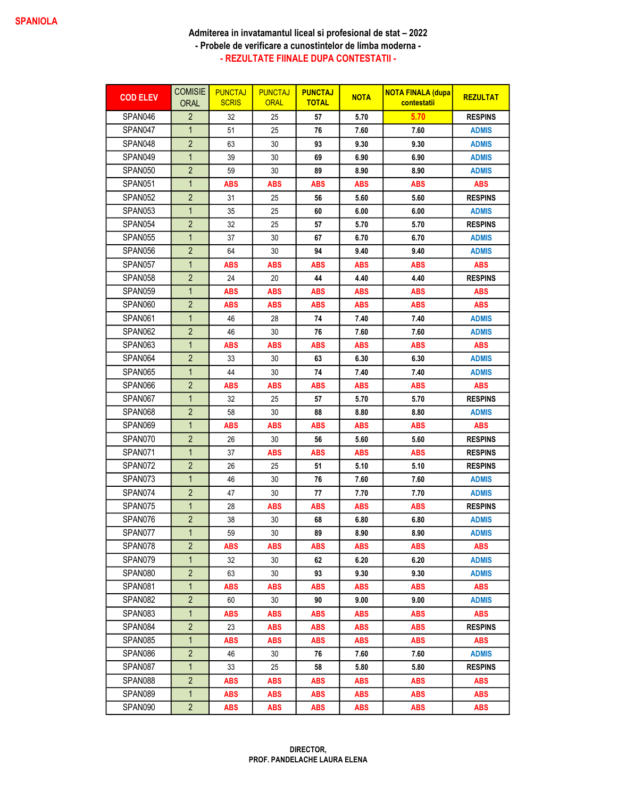## Admiterea in invatamantul liceal si profesional de stat – 2022 - Probele de verificare a cunostintelor de limba moderna - - REZULTATE FIINALE DUPA CONTESTATII -

| <b>COD ELEV</b> | <b>COMISIE</b><br><b>ORAL</b> | <b>PUNCTAJ</b><br><b>SCRIS</b> | <b>PUNCTAJ</b><br><b>ORAL</b> | <b>PUNCTAJ</b><br><b>TOTAL</b> | <b>NOTA</b> | <b>NOTA FINALA (dupa</b><br>contestatii | <b>REZULTAT</b> |
|-----------------|-------------------------------|--------------------------------|-------------------------------|--------------------------------|-------------|-----------------------------------------|-----------------|
| SPAN046         | $\overline{2}$                | 32                             | 25                            | 57                             | 5.70        | 5.70                                    | <b>RESPINS</b>  |
| SPAN047         | $\mathbf{1}$                  | 51                             | 25                            | 76                             | 7.60        | 7.60                                    | <b>ADMIS</b>    |
| SPAN048         | $\overline{2}$                | 63                             | 30                            | 93                             | 9.30        | 9.30                                    | <b>ADMIS</b>    |
| SPAN049         | $\mathbf{1}$                  | 39                             | 30                            | 69                             | 6.90        | 6.90                                    | <b>ADMIS</b>    |
| SPAN050         | $\overline{2}$                | 59                             | 30                            | 89                             | 8.90        | 8.90                                    | <b>ADMIS</b>    |
| SPAN051         | $\mathbf{1}$                  | ABS                            | <b>ABS</b>                    | <b>ABS</b>                     | <b>ABS</b>  | <b>ABS</b>                              | <b>ABS</b>      |
| SPAN052         | $\overline{2}$                | 31                             | 25                            | 56                             | 5.60        | 5.60                                    | <b>RESPINS</b>  |
| SPAN053         | $\mathbf{1}$                  | 35                             | 25                            | 60                             | 6.00        | 6.00                                    | <b>ADMIS</b>    |
| SPAN054         | $\overline{2}$                | 32                             | 25                            | 57                             | 5.70        | 5.70                                    | <b>RESPINS</b>  |
| SPAN055         | $\mathbf{1}$                  | 37                             | 30                            | 67                             | 6.70        | 6.70                                    | <b>ADMIS</b>    |
| SPAN056         | $\overline{2}$                | 64                             | 30                            | 94                             | 9.40        | 9.40                                    | <b>ADMIS</b>    |
| SPAN057         | $\mathbf{1}$                  | ABS                            | <b>ABS</b>                    | <b>ABS</b>                     | <b>ABS</b>  | <b>ABS</b>                              | <b>ABS</b>      |
| SPAN058         | $\overline{2}$                | 24                             | 20                            | 44                             | 4.40        | 4.40                                    | <b>RESPINS</b>  |
| SPAN059         | 1                             | ABS                            | ABS                           | <b>ABS</b>                     | ABS         | <b>ABS</b>                              | <b>ABS</b>      |
| SPAN060         | $\overline{2}$                | ABS                            | <b>ABS</b>                    | <b>ABS</b>                     | <b>ABS</b>  | <b>ABS</b>                              | <b>ABS</b>      |
| SPAN061         | $\mathbf{1}$                  | 46                             | 28                            | 74                             | 7.40        | 7.40                                    | <b>ADMIS</b>    |
| SPAN062         | $\overline{2}$                | 46                             | 30                            | 76                             | 7.60        | 7.60                                    | <b>ADMIS</b>    |
| SPAN063         | $\mathbf{1}$                  | <b>ABS</b>                     | <b>ABS</b>                    | <b>ABS</b>                     | ABS         | <b>ABS</b>                              | <b>ABS</b>      |
| SPAN064         | $\overline{2}$                | 33                             | 30                            | 63                             | 6.30        | 6.30                                    | <b>ADMIS</b>    |
| SPAN065         | $\mathbf{1}$                  | 44                             | 30                            | 74                             | 7.40        | 7.40                                    | <b>ADMIS</b>    |
| SPAN066         | $\overline{2}$                | ABS                            | <b>ABS</b>                    | <b>ABS</b>                     | <b>ABS</b>  | <b>ABS</b>                              | <b>ABS</b>      |
| SPAN067         | $\mathbf{1}$                  | 32                             | 25                            | 57                             | 5.70        | 5.70                                    | <b>RESPINS</b>  |
| SPAN068         | $\sqrt{2}$                    | 58                             | 30                            | 88                             | 8.80        | 8.80                                    | <b>ADMIS</b>    |
| SPAN069         | 1                             | ABS                            | <b>ABS</b>                    | <b>ABS</b>                     | <b>ABS</b>  | <b>ABS</b>                              | <b>ABS</b>      |
| SPAN070         | $\overline{2}$                | 26                             | 30                            | 56                             | 5.60        | 5.60                                    | <b>RESPINS</b>  |
| SPAN071         | $\mathbf{1}$                  | 37                             | <b>ABS</b>                    | <b>ABS</b>                     | <b>ABS</b>  | <b>ABS</b>                              | <b>RESPINS</b>  |
| SPAN072         | $\overline{2}$                | 26                             | 25                            | 51                             | 5.10        | 5.10                                    | <b>RESPINS</b>  |
| SPAN073         | 1                             | 46                             | 30                            | 76                             | 7.60        | 7.60                                    | <b>ADMIS</b>    |
| SPAN074         | $\overline{2}$                | 47                             | 30                            | 77                             | 7.70        | 7.70                                    | <b>ADMIS</b>    |
| SPAN075         | $\mathbf{1}$                  | 28                             | <b>ABS</b>                    | ABS                            | <b>ABS</b>  | <b>ABS</b>                              | <b>RESPINS</b>  |
| SPAN076         | $\overline{2}$                | 38                             | 30                            | 68                             | 6.80        | 6.80                                    | <b>ADMIS</b>    |
| SPAN077         | $\mathbf{1}$                  | 59                             | 30                            | 89                             | 8.90        | 8.90                                    | ADMIS           |
| SPAN078         | $\overline{2}$                | <b>ABS</b>                     | <b>ABS</b>                    | <b>ABS</b>                     | <b>ABS</b>  | <b>ABS</b>                              | <b>ABS</b>      |
| SPAN079         | $\mathbf{1}$                  | 32                             | 30                            | 62                             | 6.20        | 6.20                                    | <b>ADMIS</b>    |
| SPAN080         | $\overline{2}$                | 63                             | 30                            | 93                             | 9.30        | 9.30                                    | <b>ADMIS</b>    |
| SPAN081         | $\mathbf{1}$                  | ABS                            | ABS                           | ABS                            | ABS         | <b>ABS</b>                              | <b>ABS</b>      |
| SPAN082         | $\overline{2}$                | 60                             | 30                            | 90                             | 9.00        | 9.00                                    | <b>ADMIS</b>    |
| SPAN083         | 1                             | ABS                            | ABS                           | <b>ABS</b>                     | ABS         | <b>ABS</b>                              | <b>ABS</b>      |
| SPAN084         | $\overline{2}$                | 23                             | ABS                           | <b>ABS</b>                     | ABS         | <b>ABS</b>                              | <b>RESPINS</b>  |
| SPAN085         | $\mathbf{1}$                  | <b>ABS</b>                     | ABS                           | ABS                            | <b>ABS</b>  | <b>ABS</b>                              | <b>ABS</b>      |
| SPAN086         | $\overline{2}$                | 46                             | 30                            | 76                             | 7.60        | 7.60                                    | <b>ADMIS</b>    |
| SPAN087         | $\mathbf{1}$                  | 33                             | 25                            | 58                             | 5.80        | 5.80                                    | <b>RESPINS</b>  |
| SPAN088         | $\overline{2}$                | <b>ABS</b>                     | <b>ABS</b>                    | <b>ABS</b>                     | <b>ABS</b>  | <b>ABS</b>                              | <b>ABS</b>      |
| SPAN089         | $\mathbf{1}$                  | <b>ABS</b>                     | <b>ABS</b>                    | <b>ABS</b>                     | <b>ABS</b>  | ABS                                     | <b>ABS</b>      |
| SPAN090         | $\overline{2}$                | ABS                            | ABS                           | <b>ABS</b>                     | <b>ABS</b>  | <b>ABS</b>                              | <b>ABS</b>      |